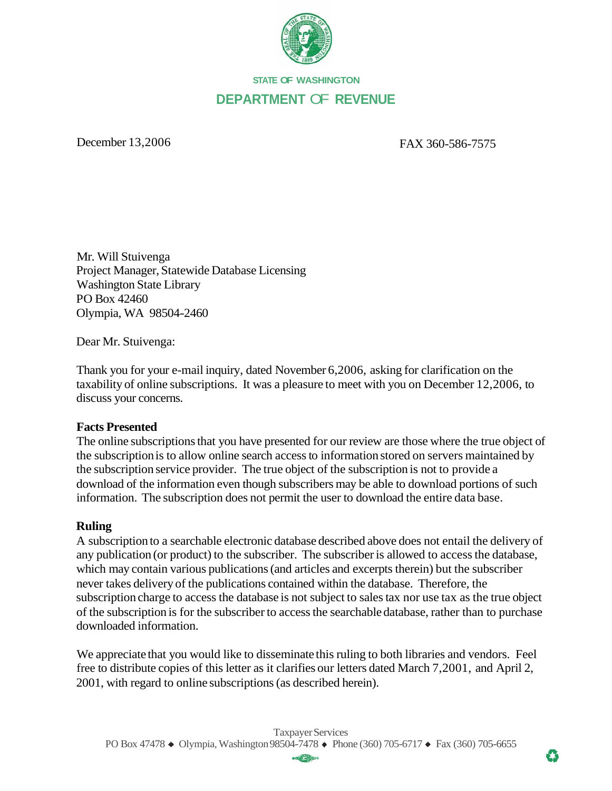

## **STATE OF WASHINGTON DEPARTMENT** OF **REVENUE**

December 13,2006 FAX 360-586-7575

Mr. Will Stuivenga Project Manager, Statewide Database Licensing Washington State Library PO Box 42460 Olympia, WA 98504-2460

Dear Mr. Stuivenga:

Thank you for your e-mail inquiry, dated November 6,2006, asking for clarification on the taxability of online subscriptions. It was a pleasure to meet with you on December 12,2006, to discuss your concerns.

## **Facts Presented**

The online subscriptions that you have presented for our review are those where the true object of the subscription is to allow online search access to information stored on servers maintained by the subscription service provider. The true object of the subscription is not to provide a download of the information even though subscribers may be able to download portions of such information. The subscription does not permit the user to download the entire data base.

## **Ruling**

A subscription to a searchable electronic database described above does not entail the delivery of any publication (or product) to the subscriber. The subscriber is allowed to access the database, which may contain various publications (and articles and excerpts therein) but the subscriber never takes delivery of the publications contained within the database. Therefore, the subscription charge to access the database is not subject to sales tax nor use tax as the true object of the subscription is for the subscriber to access the searchable database, rather than to purchase downloaded information.

We appreciate that you would like to disseminate this ruling to both libraries and vendors. Feel free to distribute copies of this letter as it clarifies our letters dated March 7,2001, and April 2, 2001, with regard to online subscriptions (as described herein).